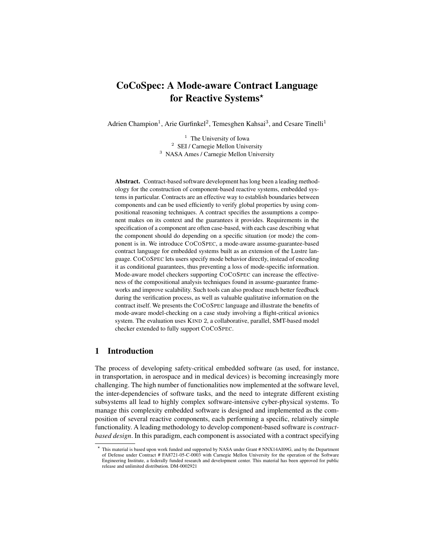# CoCoSpec: A Mode-aware Contract Language for Reactive Systems\*

Adrien Champion<sup>1</sup>, Arie Gurfinkel<sup>2</sup>, Temesghen Kahsai<sup>3</sup>, and Cesare Tinelli<sup>1</sup>

<sup>1</sup> The University of Iowa <sup>2</sup> SEI / Carnegie Mellon University <sup>3</sup> NASA Ames / Carnegie Mellon University

Abstract. Contract-based software development has long been a leading methodology for the construction of component-based reactive systems, embedded systems in particular. Contracts are an effective way to establish boundaries between components and can be used efficiently to verify global properties by using compositional reasoning techniques. A contract specifies the assumptions a component makes on its context and the guarantees it provides. Requirements in the specification of a component are often case-based, with each case describing what the component should do depending on a specific situation (or mode) the component is in. We introduce COCOSPEC, a mode-aware assume-guarantee-based contract language for embedded systems built as an extension of the Lustre language. COCOSPEC lets users specify mode behavior directly, instead of encoding it as conditional guarantees, thus preventing a loss of mode-specific information. Mode-aware model checkers supporting COCOSPEC can increase the effectiveness of the compositional analysis techniques found in assume-guarantee frameworks and improve scalability. Such tools can also produce much better feedback during the verification process, as well as valuable qualitative information on the contract itself. We presents the COCOSPEC language and illustrate the benefits of mode-aware model-checking on a case study involving a flight-critical avionics system. The evaluation uses KIND 2, a collaborative, parallel, SMT-based model checker extended to fully support COCOSPEC.

## 1 Introduction

The process of developing safety-critical embedded software (as used, for instance, in transportation, in aerospace and in medical devices) is becoming increasingly more challenging. The high number of functionalities now implemented at the software level, the inter-dependencies of software tasks, and the need to integrate different existing subsystems all lead to highly complex software-intensive cyber-physical systems. To manage this complexity embedded software is designed and implemented as the composition of several reactive components, each performing a specific, relatively simple functionality. A leading methodology to develop component-based software is *contractbased design*. In this paradigm, each component is associated with a contract specifying

<sup>\*</sup> This material is based upon work funded and supported by NASA under Grant # NNX14AI09G, and by the Department of Defense under Contract # FA8721-05-C-0003 with Carnegie Mellon University for the operation of the Software Engineering Institute, a federally funded research and development center. This material has been approved for public release and unlimited distribution. DM-0002921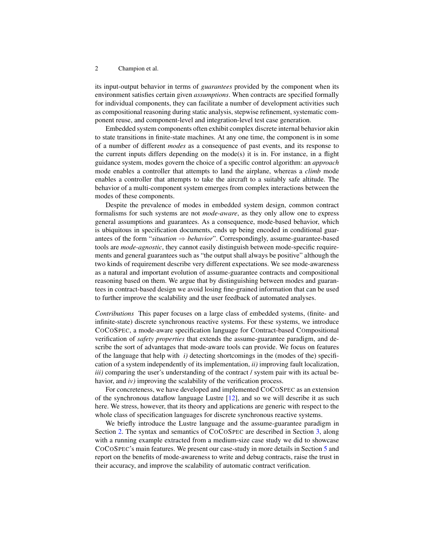its input-output behavior in terms of *guarantees* provided by the component when its environment satisfies certain given *assumptions*. When contracts are specified formally for individual components, they can facilitate a number of development activities such as compositional reasoning during static analysis, stepwise refinement, systematic component reuse, and component-level and integration-level test case generation.

Embedded system components often exhibit complex discrete internal behavior akin to state transitions in finite-state machines. At any one time, the component is in some of a number of different *modes* as a consequence of past events, and its response to the current inputs differs depending on the mode(s) it is in. For instance, in a flight guidance system, modes govern the choice of a specific control algorithm: an *approach* mode enables a controller that attempts to land the airplane, whereas a *climb* mode enables a controller that attempts to take the aircraft to a suitably safe altitude. The behavior of a multi-component system emerges from complex interactions between the modes of these components.

Despite the prevalence of modes in embedded system design, common contract formalisms for such systems are not *mode-aware*, as they only allow one to express general assumptions and guarantees. As a consequence, mode-based behavior, which is ubiquitous in specification documents, ends up being encoded in conditional guarantees of the form "*situation* ⇒ *behavior*". Correspondingly, assume-guarantee-based tools are *mode-agnostic*, they cannot easily distinguish between mode-specific requirements and general guarantees such as "the output shall always be positive" although the two kinds of requirement describe very different expectations. We see mode-awareness as a natural and important evolution of assume-guarantee contracts and compositional reasoning based on them. We argue that by distinguishing between modes and guarantees in contract-based design we avoid losing fine-grained information that can be used to further improve the scalability and the user feedback of automated analyses.

*Contributions* This paper focuses on a large class of embedded systems, (finite- and infinite-state) discrete synchronous reactive systems. For these systems, we introduce COCOSPEC, a mode-aware specification language for COntract-based COmpositional verification of *safety properties* that extends the assume-guarantee paradigm, and describe the sort of advantages that mode-aware tools can provide. We focus on features of the language that help with *i)* detecting shortcomings in the (modes of the) specification of a system independently of its implementation, *ii)* improving fault localization, *iii*) comparing the user's understanding of the contract / system pair with its actual behavior, and *iv)* improving the scalability of the verification process.

For concreteness, we have developed and implemented COCOSPEC as an extension of the synchronous dataflow language Lustre [\[12\]](#page-17-0), and so we will describe it as such here. We stress, however, that its theory and applications are generic with respect to the whole class of specification languages for discrete synchronous reactive systems.

We briefly introduce the Lustre language and the assume-guarantee paradigm in Section [2.](#page-2-0) The syntax and semantics of COCOSPEC are described in Section [3,](#page-4-0) along with a running example extracted from a medium-size case study we did to showcase COCOSPEC's main features. We present our case-study in more details in Section [5](#page-10-0) and report on the benefits of mode-awareness to write and debug contracts, raise the trust in their accuracy, and improve the scalability of automatic contract verification.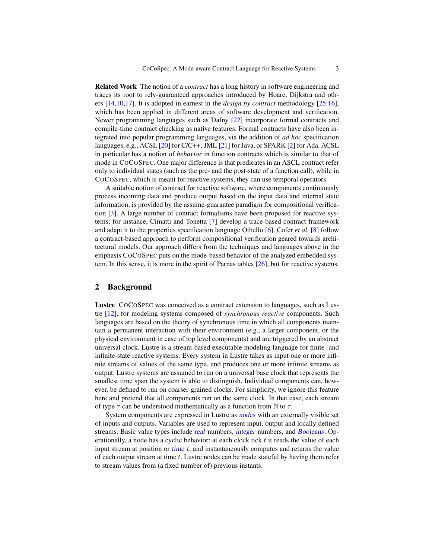Related Work The notion of a *contract* has a long history in software engineering and traces its root to rely-guaranteed approaches introduced by Hoare, Dijkstra and others [\[14,](#page-17-1)[10](#page-17-2)[,17\]](#page-17-3). It is adopted in earnest in the *design by contract* methodology [\[25](#page-17-4)[,16\]](#page-17-5), which has been applied in different areas of software development and verification. Newer programming languages such as Dafny [\[22\]](#page-17-6) incorporate formal contracts and compile-time contract checking as native features. Formal contracts have also been integrated into popular programming languages, via the addition of *ad hoc* specification languages, e.g., ACSL [\[20\]](#page-17-7) for C/C++, JML [\[21\]](#page-17-8) for Java, or SPARK [\[2\]](#page-16-0) for Ada. ACSL in particular has a notion of *behavior* in function contracts which is similar to that of mode in COCOSPEC. One major difference is that predicates in an ASCL contract refer only to individual states (such as the pre- and the post-state of a function call), while in COCOSPEC, which is meant for reactive systems, they can use temporal operators.

A suitable notion of contract for reactive software, where components continuously process incoming data and produce output based on the input data and internal state information, is provided by the assume-guarantee paradigm for compositional verification [\[3\]](#page-16-1). A large number of contract formalisms have been proposed for reactive systems; for instance, Cimatti and Tonetta [\[7\]](#page-16-2) develop a trace-based contract framework and adapt it to the properties specification language Othello [\[6\]](#page-16-3). Cofer *et al.* [\[8\]](#page-16-4) follow a contract-based approach to perform compositional verification geared towards architectural models. Our approach differs from the techniques and languages above in the emphasis COCOSPEC puts on the mode-based behavior of the analyzed embedded system. In this sense, it is more in the spirit of Parnas tables [\[26\]](#page-17-9), but for reactive systems.

## <span id="page-2-0"></span>2 Background

Lustre COCOSPEC was conceived as a contract extension to languages, such as Lustre [\[12\]](#page-17-0), for modeling systems composed of *synchronous reactive* components. Such languages are based on the theory of synchronous time in which all components maintain a permanent interaction with their environment (e.g., a larger component, or the physical environment in case of top level components) and are triggered by an abstract universal clock. Lustre is a stream-based executable modeling language for finite- and infinite-state reactive systems. Every system in Lustre takes as input one or more infinite streams of values of the same type, and produces one or more infinite streams as output. Lustre systems are assumed to run on a universal base clock that represents the smallest time span the system is able to distinguish. Individual components can, however, be defined to run on coarser-grained clocks. For simplicity, we ignore this feature here and pretend that all components run on the same clock. In that case, each stream of type  $\tau$  can be understood mathematically as a function from N to  $\tau$ .

System components are expressed in Lustre as nodes with an externally visible set of inputs and outputs. Variables are used to represent input, output and locally defined streams. Basic value types include real numbers, integer numbers, and Booleans. Operationally, a node has a cyclic behavior: at each clock tick  $t$  it reads the value of each input stream at position or time  $t$ , and instantaneously computes and returns the value of each output stream at time  $t$ . Lustre nodes can be made stateful by having them refer to stream values from (a fixed number of) previous instants.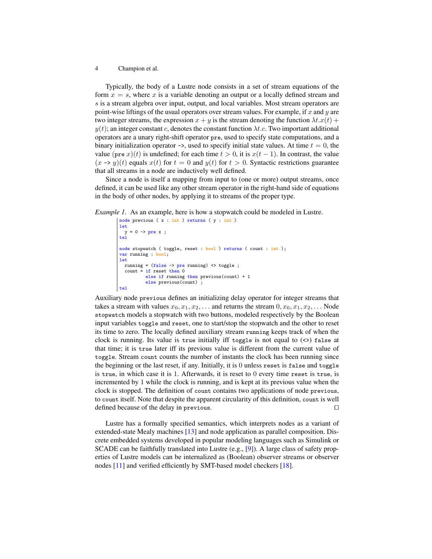Typically, the body of a Lustre node consists in a set of stream equations of the form  $x = s$ , where x is a variable denoting an output or a locally defined stream and s is a stream algebra over input, output, and local variables. Most stream operators are point-wise liftings of the usual operators over stream values. For example, if  $x$  and  $y$  are two integer streams, the expression  $x + y$  is the stream denoting the function  $\lambda t.x(t)$  +  $y(t)$ ; an integer constant c, denotes the constant function  $\lambda t$ .c. Two important additional operators are a unary right-shift operator pre, used to specify state computations, and a binary initialization operator  $\rightarrow$ , used to specify initial state values. At time  $t = 0$ , the value (pre  $x(t)$ ) is undefined; for each time  $t > 0$ , it is  $x(t - 1)$ . In contrast, the value  $(x \rightarrow y)(t)$  equals  $x(t)$  for  $t = 0$  and  $y(t)$  for  $t > 0$ . Syntactic restrictions guarantee that all streams in a node are inductively well defined.

Since a node is itself a mapping from input to (one or more) output streams, once defined, it can be used like any other stream operator in the right-hand side of equations in the body of other nodes, by applying it to streams of the proper type.

<span id="page-3-0"></span>*Example 1.* As an example, here is how a stopwatch could be modeled in Lustre.

```
node previous ( x : int ) returns ( y : int )
let
y = 0 -> pre x ;
tel
node stopwatch ( toggle, reset : bool ) returns ( count : int );
var running : bool;
let
 running = (false -> pre running) <> toggle ;
 count = if reset then 0else if running then previous(count) + 1
          else previous(count) ;
tel
```
Auxiliary node previous defines an initializing delay operator for integer streams that takes a stream with values  $x_0, x_1, x_2, \ldots$  and returns the stream  $0, x_0, x_1, x_2, \ldots$  Node stopwatch models a stopwatch with two buttons, modeled respectively by the Boolean input variables toggle and reset, one to start/stop the stopwatch and the other to reset its time to zero. The locally defined auxiliary stream running keeps track of when the clock is running. Its value is true initially iff toggle is not equal to  $(\langle \rangle)$  false at that time; it is true later iff its previous value is different from the current value of toggle. Stream count counts the number of instants the clock has been running since the beginning or the last reset, if any. Initially, it is 0 unless reset is false and toggle is true, in which case it is 1. Afterwards, it is reset to 0 every time reset is true, is incremented by 1 while the clock is running, and is kept at its previous value when the clock is stopped. The definition of count contains two applications of node previous, to count itself. Note that despite the apparent circularity of this definition, count is well defined because of the delay in previous.  $\Box$ 

Lustre has a formally specified semantics, which interprets nodes as a variant of extended-state Mealy machines [\[13\]](#page-17-10) and node application as parallel composition. Discrete embedded systems developed in popular modeling languages such as Simulink or SCADE can be faithfully translated into Lustre  $(e.g., [9])$  $(e.g., [9])$  $(e.g., [9])$ . A large class of safety properties of Lustre models can be internalized as (Boolean) observer streams or observer nodes [\[11\]](#page-17-12) and verified efficiently by SMT-based model checkers [\[18\]](#page-17-13).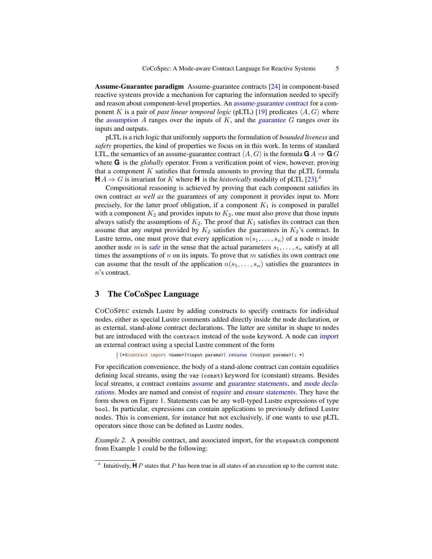Assume-Guarantee paradigm Assume-guarantee contracts [\[24\]](#page-17-14) in component-based reactive systems provide a mechanism for capturing the information needed to specify and reason about component-level properties. An assume-guarantee contract for a component K is a pair of *past linear temporal logic* (pLTL) [\[19\]](#page-17-15) predicates  $\langle A, G \rangle$  where the assumption A ranges over the inputs of  $K$ , and the guarantee  $G$  ranges over its inputs and outputs.

pLTL is a rich logic that uniformly supports the formulation of *bounded liveness* and *safety* properties, the kind of properties we focus on in this work. In terms of standard LTL, the semantics of an assume-guarantee contract  $\langle A, G \rangle$  is the formula **G**  $A \Rightarrow$  **G** G where **G** is the *globally* operator. From a verification point of view, however, proving that a component  $K$  satisfies that formula amounts to proving that the pLTL formula **H** A  $\Rightarrow$  G is invariant for K where **H** is the *historically* modality of pLTL [\[23\]](#page-17-16).<sup>[4](#page-4-1)</sup>

Compositional reasoning is achieved by proving that each component satisfies its own contract *as well as* the guarantees of any component it provides input to. More precisely, for the latter proof obligation, if a component  $K_1$  is composed in parallel with a component  $K_2$  and provides inputs to  $K_2$ , one must also prove that those inputs always satisfy the assumptions of  $K_2$ . The proof that  $K_1$  satisfies its contract can then assume that any output provided by  $K_2$  satisfies the guarantees in  $K_2$ 's contract. In Lustre terms, one must prove that every application  $n(s_1, \ldots, s_n)$  of a node n inside another node m is safe in the sense that the actual parameters  $s_1, \ldots, s_n$  satisfy at all times the assumptions of  $n$  on its inputs. To prove that  $m$  satisfies its own contract one can assume that the result of the application  $n(s_1, \ldots, s_n)$  satisfies the guarantees in n's contract.

## <span id="page-4-0"></span>3 The CoCoSpec Language

COCOSPEC extends Lustre by adding constructs to specify contracts for individual nodes, either as special Lustre comments added directly inside the node declaration, or as external, stand-alone contract declarations. The latter are similar in shape to nodes but are introduced with the contract instead of the node keyword. A node can import an external contract using a special Lustre comment of the form

(\***@contract import** <name>(<input params>) returns (<output params>); \*)

For specification convenience, the body of a stand-alone contract can contain equalities defining local streams, using the var (const) keyword for (constant) streams. Besides local streams, a contract contains *assume* and *guarantee statements*, and *mode decla*rations. Modes are named and consist of require and ensure statements. They have the form shown on Figure [1.](#page-7-0) Statements can be any well-typed Lustre expressions of type bool. In particular, expressions can contain applications to previously defined Lustre nodes. This is convenient, for instance but not exclusively, if one wants to use pLTL operators since those can be defined as Lustre nodes.

*Example 2.* A possible contract, and associated import, for the stopwatch component from Example [1](#page-3-0) could be the following:

<span id="page-4-1"></span> $<sup>4</sup>$  Intuitively, **H** P states that P has been true in all states of an execution up to the current state.</sup>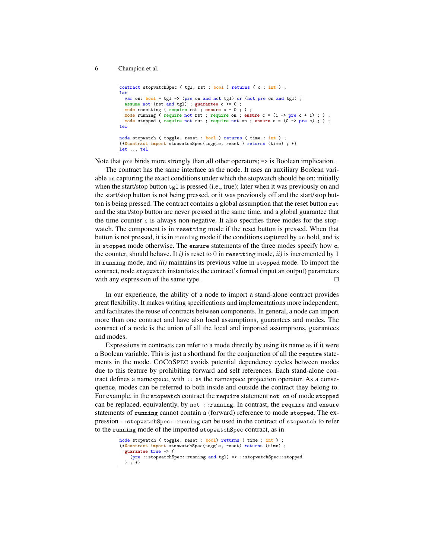```
contract stopwatchSpec ( tgl, rst : bool ) returns ( c : int ) ;
let
 var on: bool = tgl -> (pre on and not tgl) or (not pre on and tgl) ;
 assume not (rst and tgl) ; guarantee c >= 0 ;
 mode resetting ( require rst ; ensure c = 0 ; ) ;
 mode running ( require not rst ; require on ; ensure c = (1 -> pre c + 1) ; ) ;
 mode stopped ( require not rst ; require not on ; ensure c = (0 -> pre c) ; ) ;
tel
node stopwatch ( toggle, reset : bool ) returns ( time : int ) ;
(*@contract import stopwatchSpec(toggle, reset ) returns (time) ; *)
let ... tel
```
Note that pre binds more strongly than all other operators; => is Boolean implication.

The contract has the same interface as the node. It uses an auxiliary Boolean variable on capturing the exact conditions under which the stopwatch should be on: initially when the start/stop button tgl is pressed (i.e., true); later when it was previously on and the start/stop button is not being pressed, or it was previously off and the start/stop button is being pressed. The contract contains a global assumption that the reset button rst and the start/stop button are never pressed at the same time, and a global guarantee that the time counter c is always non-negative. It also specifies three modes for the stopwatch. The component is in resetting mode if the reset button is pressed. When that button is not pressed, it is in running mode if the conditions captured by on hold, and is in stopped mode otherwise. The ensure statements of the three modes specify how c, the counter, should behave. It *i)* is reset to 0 in resetting mode, *ii)* is incremented by 1 in running mode, and *iii)* maintains its previous value in stopped mode. To import the contract, node stopwatch instantiates the contract's formal (input an output) parameters with any expression of the same type.  $\Box$ 

In our experience, the ability of a node to import a stand-alone contract provides great flexibility. It makes writing specifications and implementations more independent, and facilitates the reuse of contracts between components. In general, a node can import more than one contract and have also local assumptions, guarantees and modes. The contract of a node is the union of all the local and imported assumptions, guarantees and modes.

Expressions in contracts can refer to a mode directly by using its name as if it were a Boolean variable. This is just a shorthand for the conjunction of all the require statements in the mode. COCOSPEC avoids potential dependency cycles between modes due to this feature by prohibiting forward and self references. Each stand-alone contract defines a namespace, with :: as the namespace projection operator. As a consequence, modes can be referred to both inside and outside the contract they belong to. For example, in the stopwatch contract the require statement not on of mode stopped can be replaced, equivalently, by not ::running. In contrast, the require and ensure statements of running cannot contain a (forward) reference to mode stopped. The expression ::stopwatchSpec::running can be used in the contract of stopwatch to refer to the running mode of the imported stopwatchSpec contract, as in

```
node stopwatch ( toggle, reset : bool) returns ( time : int ) ;
(*@contract import stopwatchSpec(toggle, reset) returns (time) ;
 guarantee true -> (
   (pre ::stopwatchSpec::running and tgl) => ::stopwatchSpec::stopped
 ) : *
```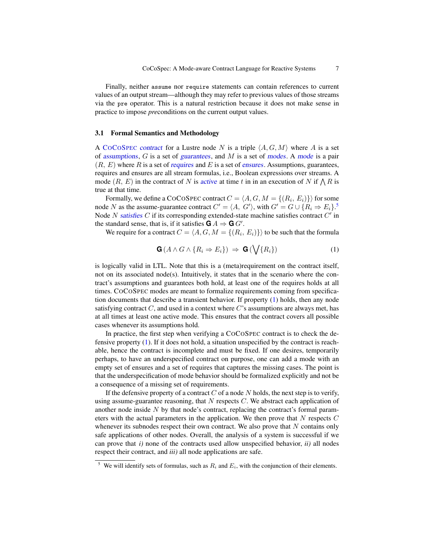Finally, neither assume nor require statements can contain references to current values of an output stream—although they may refer to previous values of those streams via the pre operator. This is a natural restriction because it does not make sense in practice to impose *pre*conditions on the current output values.

## 3.1 Formal Semantics and Methodology

A COCOSPEC contract for a Lustre node N is a triple  $\langle A, G, M \rangle$  where A is a set of assumptions,  $G$  is a set of guarantees, and  $M$  is a set of modes. A mode is a pair  $(R, E)$  where R is a set of requires and E is a set of ensures. Assumptions, guarantees, requires and ensures are all stream formulas, i.e., Boolean expressions over streams. A mode  $(R, E)$  in the contract of N is *active* at time t in in an execution of N if  $\bigwedge R$  is true at that time.

Formally, we define a COCOSPEC contract  $C = \langle A, G, M = \{(R_i, E_i)\}\rangle$  for some node N as the assume-guarantee contract  $C' = \langle A, G' \rangle$ , with  $G' = G \cup \{R_i \Rightarrow E_i\}$ .<sup>[5](#page-6-0)</sup> Node N satisfies  $C$  if its corresponding extended-state machine satisfies contract  $C'$  in the standard sense, that is, if it satisfies  $G \to G G'$ .

We require for a contract  $C = \langle A, G, M = \{ (R_i, E_i) \} \rangle$  to be such that the formula

<span id="page-6-1"></span>
$$
\mathbf{G}(A \wedge G \wedge \{R_i \Rightarrow E_i\}) \Rightarrow \mathbf{G}(\bigvee \{R_i\})
$$
 (1)

is logically valid in LTL. Note that this is a (meta)requirement on the contract itself, not on its associated node(s). Intuitively, it states that in the scenario where the contract's assumptions and guarantees both hold, at least one of the requires holds at all times. COCOSPEC modes are meant to formalize requirements coming from specification documents that describe a transient behavior. If property [\(1\)](#page-6-1) holds, then any node satisfying contract  $C$ , and used in a context where  $C$ 's assumptions are always met, has at all times at least one active mode. This ensures that the contract covers all possible cases whenever its assumptions hold.

In practice, the first step when verifying a COCOSPEC contract is to check the defensive property [\(1\)](#page-6-1). If it does not hold, a situation unspecified by the contract is reachable, hence the contract is incomplete and must be fixed. If one desires, temporarily perhaps, to have an underspecified contract on purpose, one can add a mode with an empty set of ensures and a set of requires that captures the missing cases. The point is that the underspecification of mode behavior should be formalized explicitly and not be a consequence of a missing set of requirements.

If the defensive property of a contract  $C$  of a node N holds, the next step is to verify, using assume-guarantee reasoning, that  $N$  respects  $C$ . We abstract each application of another node inside  $N$  by that node's contract, replacing the contract's formal parameters with the actual parameters in the application. We then prove that  $N$  respects  $C$ whenever its subnodes respect their own contract. We also prove that  $N$  contains only safe applications of other nodes. Overall, the analysis of a system is successful if we can prove that *i)* none of the contracts used allow unspecified behavior, *ii)* all nodes respect their contract, and *iii)* all node applications are safe.

<span id="page-6-0"></span><sup>&</sup>lt;sup>5</sup> We will identify sets of formulas, such as  $R_i$  and  $E_i$ , with the conjunction of their elements.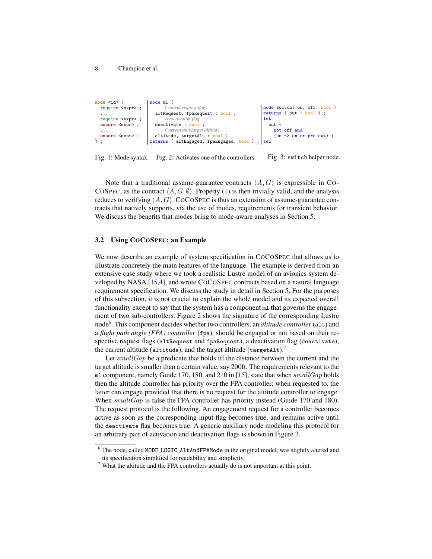```
mode <id> (
 require <expr> ;
  ...
 require <expr> ;
  ensure <expr> ;
  ...
  ensure <expr> ;
) ;
                      node ml (
                        −− Control request flags.
                        altRequest, fpaRequest : bool ;
                         −− Deactivation flag.
                        deactivate : bool ;
                         −− Current and target altitude.
                        altitude, targetAlt : real )
                      returns ( altEngaged, fpaEngaged: bool ) ;
tel
                                                                     node switch( on, off: bool )
                                                                     returns ( out : bool ) ;
                                                                     let
                                                                       out =not off and
                                                                         (on -> on or pre out) ;
```
Fig. 1: Mode syntax. Fig. 2: Activates one of the controllers. Fig. 3: switch helper node.

Note that a traditional assume-guarantee contracts  $\langle A, G \rangle$  is expressible in CO-COSPEC, as the contract  $\langle A, G, \emptyset \rangle$ . Property [\(1\)](#page-6-1) is then trivially valid, and the analysis reduces to verifying  $\langle A, G \rangle$ . COCOSPEC is thus an extension of assume-guarantee contracts that natively supports, via the use of modes, requirements for transient behavior. We discuss the benefits that modes bring to mode-aware analyses in Section [5.](#page-10-0)

### 3.2 Using COCOSPEC: an Example

We now describe an example of system specification in COCOSPEC that allows us to illustrate concretely the main features of the language. The example is derived from an extensive case study where we took a realistic Lustre model of an avionics system developed by NASA [\[15](#page-17-17)[,4\]](#page-16-5), and wrote COCOSPEC contracts based on a natural language requirement specification. We discuss the study in detail in Section [5.](#page-10-0) For the purposes of this subsection, it is not crucial to explain the whole model and its expected overall functionality except to say that the system has a component  $m\text{1}$  that governs the engagement of two sub-controllers. Figure [2](#page-7-1) shows the signature of the corresponding Lustre node[6](#page-7-2) . This component decides whether two controllers, an *altitude controller* (alt) and a *flight path angle (FPA) controller* (fpa), should be engaged or not based on their respective request flags (altRequest and fpaRequest), a deactivation flag (deactivate), the current altitude (altitude), and the target altitude (targetAlt).<sup>[7](#page-7-3)</sup>

Let smallGap be a predicate that holds iff the distance between the current and the target altitude is smaller than a certain value, say 200ft. The requirements relevant to the ml component, namely Guide 170, 180, and 210 in [\[15\]](#page-17-17), state that when  $smallGap$  holds then the altitude controller has priority over the FPA controller: when requested to, the latter can engage provided that there is no request for the altitude controller to engage. When smallGap is false the FPA controller has priority instead (Guide 170 and 180). The request protocol is the following. An engagement request for a controller becomes active as soon as the corresponding input flag becomes true, and remains active until the deactivate flag becomes true. A generic auxiliary node modeling this protocol for an arbitrary pair of activation and deactivation flags is shown in Figure [3.](#page-7-4)

<span id="page-7-2"></span><sup>6</sup> The node, called MODE LOGIC AltAndFPAMode in the original model, was slightly altered and its specification simplified for readability and simplicity.

<span id="page-7-3"></span> $7$  What the altitude and the FPA controllers actually do is not important at this point.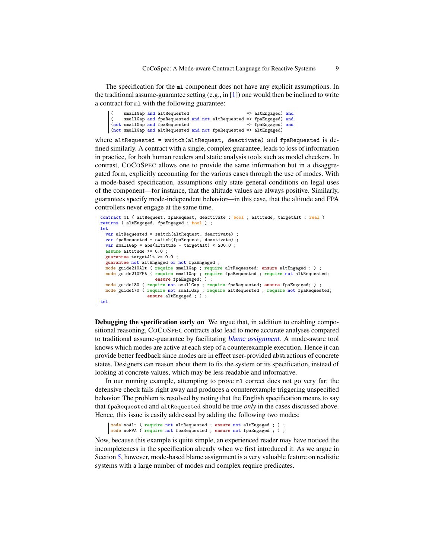The specification for the ml component does not have any explicit assumptions. In the traditional assume-guarantee setting  $(e.g., in [1])$  $(e.g., in [1])$  $(e.g., in [1])$  one would then be inclined to write a contract for ml with the following guarantee:

```
smallGap and altRequested => altEngaged) and
     smallGap and fpaRequested and not altRequested \Rightarrow fpaEngaged) and smallGap and fpaRequested \Rightarrow fpaEngaged) and
(not smallGap and fpaRequested
(not smallGap and altRequested and not fpaRequested => altEngaged)
```
where altRequested = switch(altRequest, deactivate) and fpaRequested is defined similarly. A contract with a single, complex guarantee, leads to loss of information in practice, for both human readers and static analysis tools such as model checkers. In contrast, COCOSPEC allows one to provide the same information but in a disaggregated form, explicitly accounting for the various cases through the use of modes. With a mode-based specification, assumptions only state general conditions on legal uses of the component—for instance, that the altitude values are always positive. Similarly, guarantees specify mode-independent behavior—in this case, that the altitude and FPA controllers never engage at the same time.

```
contract ml ( altRequest, fpaRequest, deactivate : bool ; altitude, targetAlt : real )
returns ( altEngaged, fpaEngaged : bool ) ;
let
  var altRequested = switch(altRequest, deactivate) ;
  var fpaRequested = switch(fpaRequest, deactivate) ;
  var smallGap = abs(altitude - targetAlt) < 200.0 ;
  assume altitude >= 0.0 ;
  guarantee targetAlt >= 0.0 ;
  guarantee not altEngaged or not fpaEngaged ;
  mode guide210Alt ( require smallGap ; require altRequested; ensure altEngaged ; ) ;
  mode guide210FPA ( require smallGap ; require fpaRequested ; require not altRequested;
                    ensure fpaEngaged; ) ;
  mode guide180 ( require not smallGap ; require fpaRequested; ensure fpaEngaged; ) ;
  mode guide170 ( require not smallGap ; require altRequested ; require not fpaRequested;
                  ensure altEngaged ; ) ;
tel
```
Debugging the specification early on We argue that, in addition to enabling compositional reasoning, COCOSPEC contracts also lead to more accurate analyses compared to traditional assume-guarantee by facilitating blame assignment. A mode-aware tool knows which modes are active at each step of a counterexample execution. Hence it can provide better feedback since modes are in effect user-provided abstractions of concrete states. Designers can reason about them to fix the system or its specification, instead of looking at concrete values, which may be less readable and informative.

In our running example, attempting to prove ml correct does not go very far: the defensive check fails right away and produces a counterexample triggering unspecified behavior. The problem is resolved by noting that the English specification means to say that fpaRequested and altRequested should be true *only* in the cases discussed above. Hence, this issue is easily addressed by adding the following two modes:

```
mode noAlt ( require not altRequested ; ensure not altEngaged ; ) ;
mode noFPA ( require not fpaRequested ; ensure not fpaEngaged ; ) ;
```
Now, because this example is quite simple, an experienced reader may have noticed the incompleteness in the specification already when we first introduced it. As we argue in Section [5,](#page-10-0) however, mode-based blame assignment is a very valuable feature on realistic systems with a large number of modes and complex require predicates.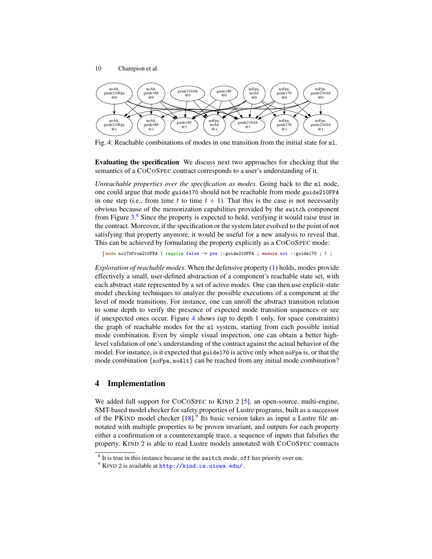<span id="page-9-1"></span>

Fig. 4: Reachable combinations of modes in one transition from the initial state for m1.

<span id="page-9-3"></span>**Evaluating the specification** We discuss next two approaches for checking that the semantics of a COCOSPEC contract corresponds to a user's understanding of it.

Unreachable properties over the specification as modes. Going back to the m1 node, one could argue that mode guide170 should not be reachable from mode guide210FPA in one step (i.e., from time t to time  $t + 1$ ). That this is the case is not necessarily obvious because of the memorization capabilities provided by the switch component from Figure  $3.8$  Since the property is expected to hold, verifying it would raise trust in the contract. Moreover, if the specification or the system later evolved to the point of not satisfying that property anymore, it would be useful for a new analysis to reveal that. This can be achieved by formulating the property explicitly as a COCOSPEC mode:

```
| mode no170From210FPA ( require false -> pre :: guide210FPA ; ensure not :: guide170 ; ) ;
```
Exploration of reachable modes. When the defensive property  $(1)$  holds, modes provide effectively a small, user-defined abstraction of a component's reachable state set, with each abstract state represented by a set of active modes. One can then use explicit-state model checking techniques to analyze the possible executions of a component at the level of mode transitions. For instance, one can unroll the abstract transition relation to some depth to verify the presence of expected mode transition sequences or see if unexpected ones occur. Figure 4 shows (up to depth 1 only, for space constraints) the graph of reachable modes for the ml system, starting from each possible initial mode combination. Even by simple visual inspection, one can obtain a better highlevel validation of one's understanding of the contract against the actual behavior of the model. For instance, is it expected that guide170 is active only when noFpa is, or that the mode combination {noFpa, noA1t} can be reached from any initial mode combination?

#### <span id="page-9-4"></span>4 Implementation

We added full support for COCOSPEC to KIND 2 [5], an open-source, multi-engine, SMT-based model checker for safety properties of Lustre programs, built as a successor of the PKIND model checker  $[18]$ .<sup>9</sup> Its basic version takes as input a Lustre file annotated with multiple properties to be proven invariant, and outputs for each property either a confirmation or a counterexample trace, a sequence of inputs that falsifies the property. KIND 2 is able to read Lustre models annotated with COCOSPEC contracts

<span id="page-9-0"></span><sup>&</sup>lt;sup>8</sup> It is true in this instance because in the switch mode, off has priority over on.

<span id="page-9-2"></span> $9$  KIND 2 is available at  $http://kind.cs.uiowa.edu/$ .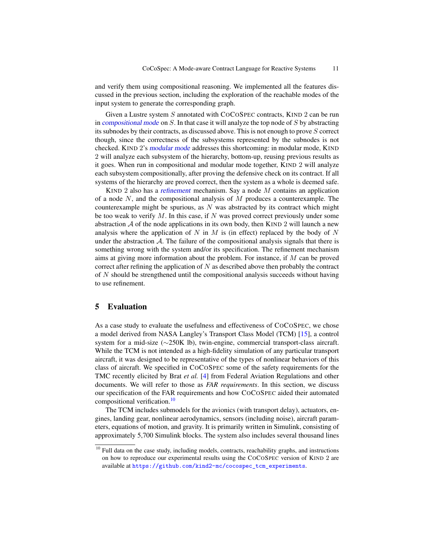and verify them using compositional reasoning. We implemented all the features discussed in the previous section, including the exploration of the reachable modes of the input system to generate the corresponding graph.

Given a Lustre system S annotated with COCOSPEC contracts, KIND 2 can be run in compositional mode on  $S$ . In that case it will analyze the top node of  $S$  by abstracting its subnodes by their contracts, as discussed above. This is not enough to prove S correct though, since the correctness of the subsystems represented by the subnodes is not checked. KIND 2's modular mode addresses this shortcoming: in modular mode, KIND 2 will analyze each subsystem of the hierarchy, bottom-up, reusing previous results as it goes. When run in compositional and modular mode together, KIND 2 will analyze each subsystem compositionally, after proving the defensive check on its contract. If all systems of the hierarchy are proved correct, then the system as a whole is deemed safe.

KIND 2 also has a refinement mechanism. Say a node M contains an application of a node  $N$ , and the compositional analysis of  $M$  produces a counterexample. The counterexample might be spurious, as  $N$  was abstracted by its contract which might be too weak to verify  $M$ . In this case, if N was proved correct previously under some abstraction  $A$  of the node applications in its own body, then KIND 2 will launch a new analysis where the application of N in M is (in effect) replaced by the body of N under the abstraction  $A$ . The failure of the compositional analysis signals that there is something wrong with the system and/or its specification. The refinement mechanism aims at giving more information about the problem. For instance, if M can be proved correct after refining the application of  $N$  as described above then probably the contract of N should be strengthened until the compositional analysis succeeds without having to use refinement.

## <span id="page-10-0"></span>5 Evaluation

As a case study to evaluate the usefulness and effectiveness of COCOSPEC, we chose a model derived from NASA Langley's Transport Class Model (TCM) [\[15\]](#page-17-17), a control system for a mid-size (∼250K lb), twin-engine, commercial transport-class aircraft. While the TCM is not intended as a high-fidelity simulation of any particular transport aircraft, it was designed to be representative of the types of nonlinear behaviors of this class of aircraft. We specified in COCOSPEC some of the safety requirements for the TMC recently elicited by Brat *et al.* [\[4\]](#page-16-5) from Federal Aviation Regulations and other documents. We will refer to those as *FAR requirements*. In this section, we discuss our specification of the FAR requirements and how COCOSPEC aided their automated compositional verification.<sup>[10](#page-10-1)</sup>

The TCM includes submodels for the avionics (with transport delay), actuators, engines, landing gear, nonlinear aerodynamics, sensors (including noise), aircraft parameters, equations of motion, and gravity. It is primarily written in Simulink, consisting of approximately 5,700 Simulink blocks. The system also includes several thousand lines

<span id="page-10-1"></span><sup>&</sup>lt;sup>10</sup> Full data on the case study, including models, contracts, reachability graphs, and instructions on how to reproduce our experimental results using the COCOSPEC version of KIND 2 are available at [https://github.com/kind2-mc/cocospec\\_tcm\\_experiments](https://github.com/kind2-mc/cocospec_tcm_experiments).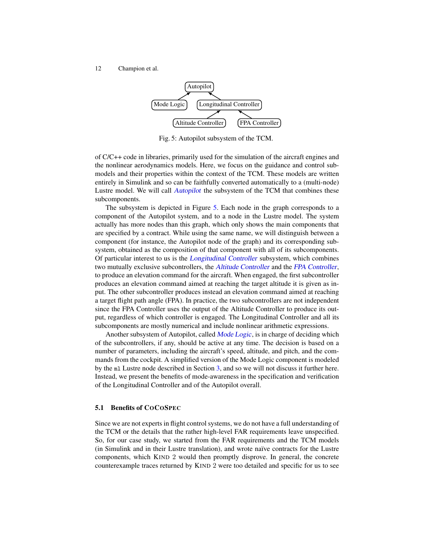<span id="page-11-0"></span>

Fig. 5: Autopilot subsystem of the TCM.

of C/C++ code in libraries, primarily used for the simulation of the aircraft engines and the nonlinear aerodynamics models. Here, we focus on the guidance and control submodels and their properties within the context of the TCM. These models are written entirely in Simulink and so can be faithfully converted automatically to a (multi-node) Lustre model. We will call Autopilot the subsystem of the TCM that combines these subcomponents.

The subsystem is depicted in Figure [5.](#page-11-0) Each node in the graph corresponds to a component of the Autopilot system, and to a node in the Lustre model. The system actually has more nodes than this graph, which only shows the main components that are specified by a contract. While using the same name, we will distinguish between a component (for instance, the Autopilot node of the graph) and its corresponding subsystem, obtained as the composition of that component with all of its subcomponents. Of particular interest to us is the Longitudinal Controller subsystem, which combines two mutually exclusive subcontrollers, the Altitude Controller and the FPA Controller, to produce an elevation command for the aircraft. When engaged, the first subcontroller produces an elevation command aimed at reaching the target altitude it is given as input. The other subcontroller produces instead an elevation command aimed at reaching a target flight path angle (FPA). In practice, the two subcontrollers are not independent since the FPA Controller uses the output of the Altitude Controller to produce its output, regardless of which controller is engaged. The Longitudinal Controller and all its subcomponents are mostly numerical and include nonlinear arithmetic expressions.

Another subsystem of Autopilot, called Mode Logic, is in charge of deciding which of the subcontrollers, if any, should be active at any time. The decision is based on a number of parameters, including the aircraft's speed, altitude, and pitch, and the commands from the cockpit. A simplified version of the Mode Logic component is modeled by the ml Lustre node described in Section [3,](#page-4-0) and so we will not discuss it further here. Instead, we present the benefits of mode-awareness in the specification and verification of the Longitudinal Controller and of the Autopilot overall.

### 5.1 Benefits of COCOSPEC

Since we are not experts in flight control systems, we do not have a full understanding of the TCM or the details that the rather high-level FAR requirements leave unspecified. So, for our case study, we started from the FAR requirements and the TCM models (in Simulink and in their Lustre translation), and wrote na¨ıve contracts for the Lustre components, which KIND 2 would then promptly disprove. In general, the concrete counterexample traces returned by KIND 2 were too detailed and specific for us to see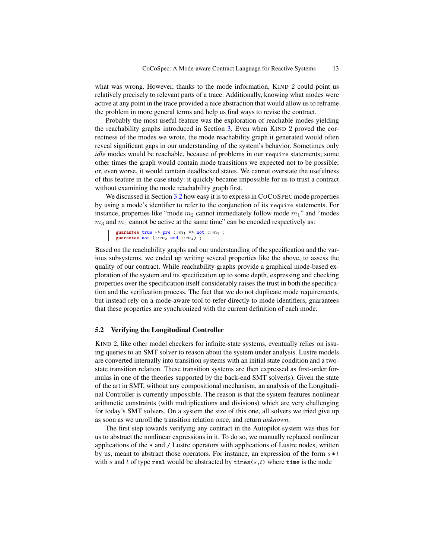what was wrong. However, thanks to the mode information, KIND 2 could point us relatively precisely to relevant parts of a trace. Additionally, knowing what modes were active at any point in the trace provided a nice abstraction that would allow us to reframe the problem in more general terms and help us find ways to revise the contract.

Probably the most useful feature was the exploration of reachable modes yielding the reachability graphs introduced in Section [3.](#page-4-0) Even when KIND 2 proved the correctness of the modes we wrote, the mode reachability graph it generated would often reveal significant gaps in our understanding of the system's behavior. Sometimes only *idle* modes would be reachable, because of problems in our require statements; some other times the graph would contain mode transitions we expected not to be possible; or, even worse, it would contain deadlocked states. We cannot overstate the usefulness of this feature in the case study: it quickly became impossible for us to trust a contract without examining the mode reachability graph first.

We discussed in Section [3.2](#page-9-3) how easy it is to express in COCOSPEC mode properties by using a mode's identifier to refer to the conjunction of its require statements. For instance, properties like "mode  $m_2$  cannot immediately follow mode  $m_1$ " and "modes  $m_3$  and  $m_4$  cannot be active at the same time" can be encoded respectively as:

```
guarantee true \rightarrow pre ::m_1 \Rightarrow not ::m_2 ;
guarantee not (::m_3 and ::m_4);
```
Based on the reachability graphs and our understanding of the specification and the various subsystems, we ended up writing several properties like the above, to assess the quality of our contract. While reachability graphs provide a graphical mode-based exploration of the system and its specification up to some depth, expressing and checking properties over the specification itself considerably raises the trust in both the specification and the verification process. The fact that we do not duplicate mode requirements, but instead rely on a mode-aware tool to refer directly to mode identifiers, guarantees that these properties are synchronized with the current definition of each mode.

## <span id="page-12-0"></span>5.2 Verifying the Longitudinal Controller

KIND 2, like other model checkers for infinite-state systems, eventually relies on issuing queries to an SMT solver to reason about the system under analysis. Lustre models are converted internally into transition systems with an initial state condition and a twostate transition relation. These transition systems are then expressed as first-order formulas in one of the theories supported by the back-end SMT solver(s). Given the state of the art in SMT, without any compositional mechanism, an analysis of the Longitudinal Controller is currently impossible. The reason is that the system features nonlinear arithmetic constraints (with multiplications and divisions) which are very challenging for today's SMT solvers. On a system the size of this one, all solvers we tried give up as soon as we unroll the transition relation once, and return *unknown*.

The first step towards verifying any contract in the Autopilot system was thus for us to abstract the nonlinear expressions in it. To do so, we manually replaced nonlinear applications of the \* and / Lustre operators with applications of Lustre nodes, written by us, meant to abstract those operators. For instance, an expression of the form  $s * t$ with s and t of type real would be abstracted by times  $(s, t)$  where time is the node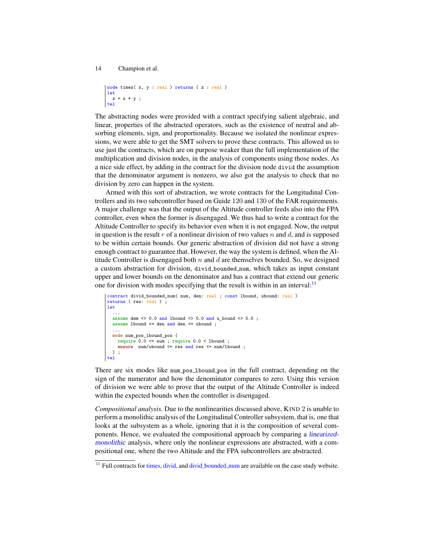```
node times( x, y : real ) returns ( z : real )
let
 z = x * y;tel
```
The abstracting nodes were provided with a contract specifying salient algebraic, and linear, properties of the abstracted operators, such as the existence of neutral and absorbing elements, sign, and proportionality. Because we isolated the nonlinear expressions, we were able to get the SMT solvers to prove these contracts. This allowed us to use just the contracts, which are on purpose weaker than the full implementation of the multiplication and division nodes, in the analysis of components using those nodes. As a nice side effect, by adding in the contract for the division node divid the assumption that the denominator argument is nonzero, we also got the analysis to check that no division by zero can happen in the system.

Armed with this sort of abstraction, we wrote contracts for the Longitudinal Controllers and its two subcontroller based on Guide 120 and 130 of the FAR requirements. A major challenge was that the output of the Altitude controller feeds also into the FPA controller, even when the former is disengaged. We thus had to write a contract for the Altitude Controller to specify its behavior even when it is not engaged. Now, the output in question is the result r of a nonlinear division of two values n and d, and is supposed to be within certain bounds. Our generic abstraction of division did not have a strong enough contract to guarantee that. However, the way the system is defined, when the Altitude Controller is disengaged both  $n$  and  $d$  are themselves bounded. So, we designed a custom abstraction for division, divid bounded num, which takes as input constant upper and lower bounds on the denominator and has a contract that extend our generic one for division with modes specifying that the result is within in an interval: $\frac{11}{11}$  $\frac{11}{11}$  $\frac{11}{11}$ 

```
contract divid_bounded_num( num, den: real ; const lbound, ubound: real )
returns ( res: real ) ;
let
  ...
  assume dem <> 0.0 and lbound <> 0.0 and u_bound <> 0.0 ;
  assume lbound <= den and den <= ubound ;
  ...
 mode num_pos_lbound_pos (
   require 0.0 <= num ; require 0.0 < lbound ;
    ensure num/ubound <= res and res <= num/lbound ;
  ) ;
tel
```
There are six modes like num pos lbound pos in the full contract, depending on the sign of the numerator and how the denominator compares to zero. Using this version of division we were able to prove that the output of the Altitude Controller is indeed within the expected bounds when the controller is disengaged.

*Compositional analysis.* Due to the nonlinearities discussed above, KIND 2 is unable to perform a monolithic analysis of the Longitudinal Controller subsystem, that is, one that looks at the subsystem as a whole, ignoring that it is the composition of several components. Hence, we evaluated the compositional approach by comparing a linearizedmonolithic analysis, where only the nonlinear expressions are abstracted, with a compositional one, where the two Altitude and the FPA subcontrollers are abstracted.

<span id="page-13-0"></span> $11$  Full contracts for [times,](https://github.com/kind2-mc/cocospec_tcm_experiments/blob/master/systems/helpers.lus#L168) [divid,](https://github.com/kind2-mc/cocospec_tcm_experiments/blob/master/systems/helpers.lus#L197) and divid [bounded](https://github.com/kind2-mc/cocospec_tcm_experiments/blob/master/systems/helpers.lus#L230) num are available on the case study website.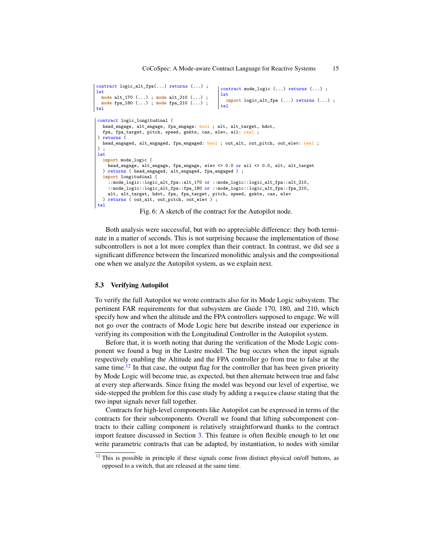```
contract logic_alt_fpa(...) returns (...) ;
let
 mode alt_170 (...) ; mode alt_210 (...) ;
 mode fpa_180 (...) ; mode fpa_210 (...) ;
tel
                                                contract mode_logic (...) returns (...) ;
                                                let
                                                 import logic_alt_fpa (...) returns (...) ;
                                               tel
contract logic_longitudinal (
  head_engage, alt_engage, fpa_engage: bool ; alt, alt_target, hdot,
  fpa, fpa_target, pitch, speed, gskts, cas, elev, ail: real ;
) returns (
  head_engaged, alt_engaged, fpa_engaged: bool ; out_alt, out_pitch, out_elev: real ;
) ;
let
  import mode_logic (
    head_engage, alt_engage, fpa_engage, elev <> 0.0 or ail <> 0.0, alt, alt_target
  ) returns ( head_engaged, alt_engaged, fpa_engaged ) ;
  import longitudinal (
    ::mode_logic::logic_alt_fpa::alt_170 or ::mode_logic::logic_alt_fpa::alt_210,
    ::mode_logic::logic_alt_fpa::fpa_180 or ::mode_logic::logic_alt_fpa::fpa_210,
    alt, alt_target, hdot, fpa, fpa_target, pitch, speed, gskts, cas, elev
  ) returns ( out_alt, out_pitch, out_elev ) ;
tel
```
Fig. 6: A sketch of the contract for the Autopilot node.

Both analysis were successful, but with no appreciable difference: they both terminate in a matter of seconds. This is not surprising because the implementation of those subcontrollers is not a lot more complex than their contract. In contrast, we did see a significant difference between the linearized monolithic analysis and the compositional one when we analyze the Autopilot system, as we explain next.

### 5.3 Verifying Autopilot

To verify the full Autopilot we wrote contracts also for its Mode Logic subsystem. The pertinent FAR requirements for that subsystem are Guide 170, 180, and 210, which specify how and when the altitude and the FPA controllers supposed to engage. We will not go over the contracts of Mode Logic here but describe instead our experience in verifying its composition with the Longitudinal Controller in the Autopilot system.

Before that, it is worth noting that during the verification of the Mode Logic component we found a bug in the Lustre model. The bug occurs when the input signals respectively enabling the Altitude and the FPA controller go from true to false at the same time.<sup>[12](#page-14-0)</sup> In that case, the output flag for the controller that has been given priority by Mode Logic will become true, as expected, but then alternate between true and false at every step afterwards. Since fixing the model was beyond our level of expertise, we side-stepped the problem for this case study by adding a require clause stating that the two input signals never fall together.

Contracts for high-level components like Autopilot can be expressed in terms of the contracts for their subcomponents. Overall we found that lifting subcomponent contracts to their calling component is relatively straightforward thanks to the contract import feature discussed in Section [3.](#page-4-0) This feature is often flexible enough to let one write parametric contracts that can be adapted, by instantiation, to nodes with similar

<span id="page-14-0"></span> $12$  This is possible in principle if these signals come from distinct physical on/off buttons, as opposed to a switch, that are released at the same time.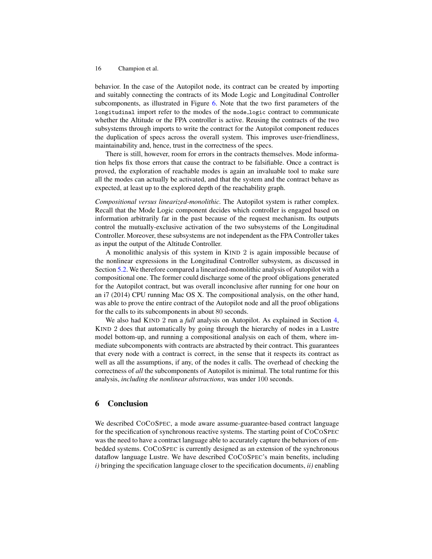behavior. In the case of the Autopilot node, its contract can be created by importing and suitably connecting the contracts of its Mode Logic and Longitudinal Controller subcomponents, as illustrated in Figure [6.](#page-14-1) Note that the two first parameters of the longitudinal import refer to the modes of the mode logic contract to communicate whether the Altitude or the FPA controller is active. Reusing the contracts of the two subsystems through imports to write the contract for the Autopilot component reduces the duplication of specs across the overall system. This improves user-friendliness, maintainability and, hence, trust in the correctness of the specs.

There is still, however, room for errors in the contracts themselves. Mode information helps fix those errors that cause the contract to be falsifiable. Once a contract is proved, the exploration of reachable modes is again an invaluable tool to make sure all the modes can actually be activated, and that the system and the contract behave as expected, at least up to the explored depth of the reachability graph.

*Compositional versus linearized-monolithic.* The Autopilot system is rather complex. Recall that the Mode Logic component decides which controller is engaged based on information arbitrarily far in the past because of the request mechanism. Its outputs control the mutually-exclusive activation of the two subsystems of the Longitudinal Controller. Moreover, these subsystems are not independent as the FPA Controller takes as input the output of the Altitude Controller.

A monolithic analysis of this system in KIND 2 is again impossible because of the nonlinear expressions in the Longitudinal Controller subsystem, as discussed in Section [5.2.](#page-12-0) We therefore compared a linearized-monolithic analysis of Autopilot with a compositional one. The former could discharge some of the proof obligations generated for the Autopilot contract, but was overall inconclusive after running for one hour on an i7 (2014) CPU running Mac OS X. The compositional analysis, on the other hand, was able to prove the entire contract of the Autopilot node and all the proof obligations for the calls to its subcomponents in about 80 seconds.

We also had KIND 2 run a *full* analysis on Autopilot. As explained in Section [4,](#page-9-4) KIND 2 does that automatically by going through the hierarchy of nodes in a Lustre model bottom-up, and running a compositional analysis on each of them, where immediate subcomponents with contracts are abstracted by their contract. This guarantees that every node with a contract is correct, in the sense that it respects its contract as well as all the assumptions, if any, of the nodes it calls. The overhead of checking the correctness of *all* the subcomponents of Autopilot is minimal. The total runtime for this analysis, *including the nonlinear abstractions*, was under 100 seconds.

## 6 Conclusion

We described COCOSPEC, a mode aware assume-guarantee-based contract language for the specification of synchronous reactive systems. The starting point of COCOSPEC was the need to have a contract language able to accurately capture the behaviors of embedded systems. COCOSPEC is currently designed as an extension of the synchronous dataflow language Lustre. We have described COCOSPEC's main benefits, including *i)* bringing the specification language closer to the specification documents, *ii)* enabling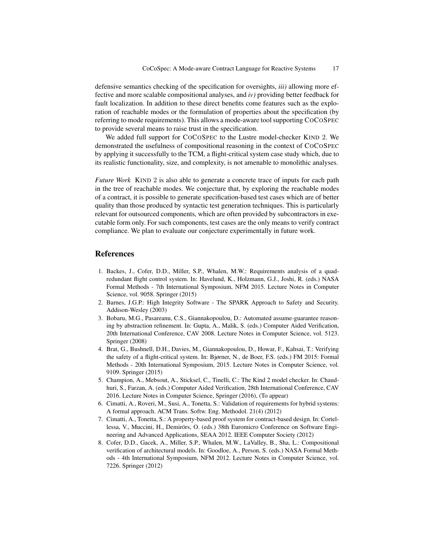defensive semantics checking of the specification for oversights, *iii)* allowing more effective and more scalable compositional analyses, and *iv)* providing better feedback for fault localization. In addition to these direct benefits come features such as the exploration of reachable modes or the formulation of properties about the specification (by referring to mode requirements). This allows a mode-aware tool supporting COCOSPEC to provide several means to raise trust in the specification.

We added full support for COCOSPEC to the Lustre model-checker KIND 2. We demonstrated the usefulness of compositional reasoning in the context of COCOSPEC by applying it successfully to the TCM, a flight-critical system case study which, due to its realistic functionality, size, and complexity, is not amenable to monolithic analyses.

*Future Work* KIND 2 is also able to generate a concrete trace of inputs for each path in the tree of reachable modes. We conjecture that, by exploring the reachable modes of a contract, it is possible to generate specification-based test cases which are of better quality than those produced by syntactic test generation techniques. This is particularly relevant for outsourced components, which are often provided by subcontractors in executable form only. For such components, test cases are the only means to verify contract compliance. We plan to evaluate our conjecture experimentally in future work.

## **References**

- <span id="page-16-6"></span>1. Backes, J., Cofer, D.D., Miller, S.P., Whalen, M.W.: Requirements analysis of a quadredundant flight control system. In: Havelund, K., Holzmann, G.J., Joshi, R. (eds.) NASA Formal Methods - 7th International Symposium, NFM 2015. Lecture Notes in Computer Science, vol. 9058. Springer (2015)
- <span id="page-16-0"></span>2. Barnes, J.G.P.: High Integrity Software - The SPARK Approach to Safety and Security. Addison-Wesley (2003)
- <span id="page-16-1"></span>3. Bobaru, M.G., Pasareanu, C.S., Giannakopoulou, D.: Automated assume-guarantee reasoning by abstraction refinement. In: Gupta, A., Malik, S. (eds.) Computer Aided Verification, 20th International Conference, CAV 2008. Lecture Notes in Computer Science, vol. 5123. Springer (2008)
- <span id="page-16-5"></span>4. Brat, G., Bushnell, D.H., Davies, M., Giannakopoulou, D., Howar, F., Kahsai, T.: Verifying the safety of a flight-critical system. In: Bjørner, N., de Boer, F.S. (eds.) FM 2015: Formal Methods - 20th International Symposium, 2015. Lecture Notes in Computer Science, vol. 9109. Springer (2015)
- <span id="page-16-7"></span>5. Champion, A., Mebsout, A., Sticksel, C., Tinelli, C.: The Kind 2 model checker. In: Chaudhuri, S., Farzan, A. (eds.) Computer Aided Verification, 28th International Conference, CAV 2016. Lecture Notes in Computer Science, Springer (2016), (To appear)
- <span id="page-16-3"></span>6. Cimatti, A., Roveri, M., Susi, A., Tonetta, S.: Validation of requirements for hybrid systems: A formal approach. ACM Trans. Softw. Eng. Methodol. 21(4) (2012)
- <span id="page-16-2"></span>7. Cimatti, A., Tonetta, S.: A property-based proof system for contract-based design. In: Cortellessa, V., Muccini, H., Demirörs, O. (eds.) 38th Euromicro Conference on Software Engineering and Advanced Applications, SEAA 2012. IEEE Computer Society (2012)
- <span id="page-16-4"></span>8. Cofer, D.D., Gacek, A., Miller, S.P., Whalen, M.W., LaValley, B., Sha, L.: Compositional verification of architectural models. In: Goodloe, A., Person, S. (eds.) NASA Formal Methods - 4th International Symposium, NFM 2012. Lecture Notes in Computer Science, vol. 7226. Springer (2012)